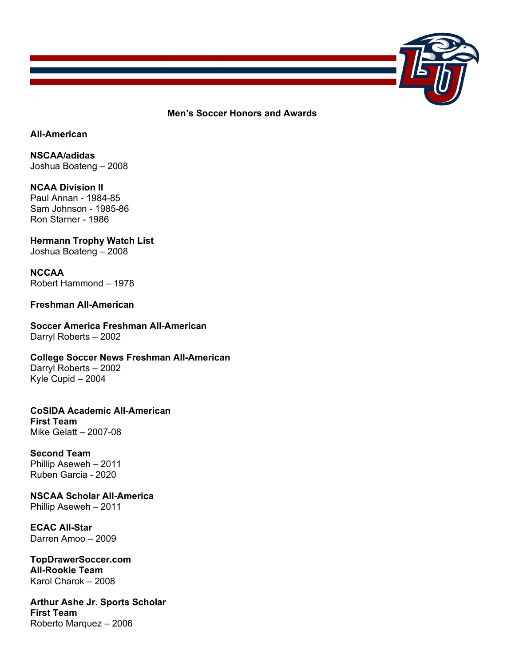

**Men's Soccer Honors and Awards**

### **All-American**

**NSCAA/adidas**  Joshua Boateng – 2008

**NCAA Division II** Paul Annan - 1984-85 Sam Johnson - 1985-86 Ron Starner - 1986

### **Hermann Trophy Watch List** Joshua Boateng – 2008

**NCCAA** Robert Hammond – 1978

# **Freshman All-American**

**Soccer America Freshman All-American** Darryl Roberts – 2002

**College Soccer News Freshman All-American** Darryl Roberts – 2002 Kyle Cupid – 2004

**CoSIDA Academic All-American First Team** Mike Gelatt – 2007-08

### **Second Team** Phillip Aseweh – 2011

Ruben Garcia - 2020

**NSCAA Scholar All-America** Phillip Aseweh – 2011

**ECAC All-Star** Darren Amoo – 2009

**TopDrawerSoccer.com All-Rookie Team** Karol Charok – 2008

**Arthur Ashe Jr. Sports Scholar First Team** Roberto Marquez – 2006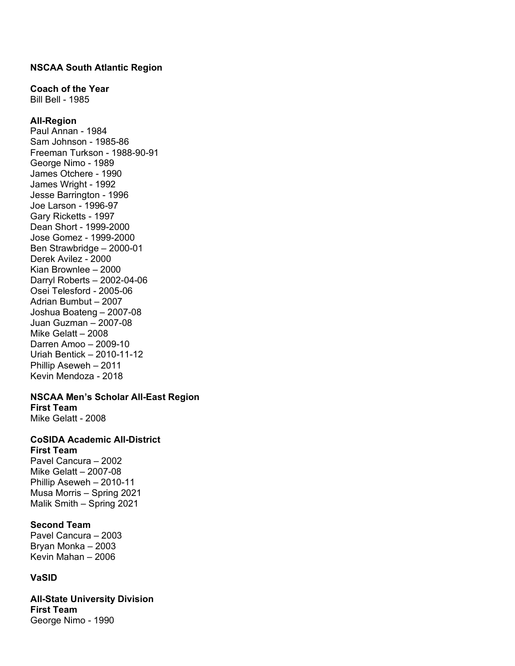### **NSCAA South Atlantic Region**

### **Coach of the Year**

Bill Bell - 1985

### **All-Region**

Paul Annan - 1984 Sam Johnson - 1985-86 Freeman Turkson - 1988-90-91 George Nimo - 1989 James Otchere - 1990 James Wright - 1992 Jesse Barrington - 1996 Joe Larson - 1996-97 Gary Ricketts - 1997 Dean Short - 1999-2000 Jose Gomez - 1999-2000 Ben Strawbridge – 2000-01 Derek Avilez - 2000 Kian Brownlee – 2000 Darryl Roberts – 2002-04-06 Osei Telesford - 2005-06 Adrian Bumbut – 2007 Joshua Boateng – 2007-08 Juan Guzman – 2007-08 Mike Gelatt – 2008 Darren Amoo – 2009-10 Uriah Bentick – 2010-11-12 Phillip Aseweh – 2011 Kevin Mendoza - 2018

#### **NSCAA Men's Scholar All-East Region First Team**

Mike Gelatt - 2008

#### **CoSIDA Academic All-District First Team**

Pavel Cancura – 2002 Mike Gelatt – 2007-08 Phillip Aseweh – 2010-11 Musa Morris – Spring 2021 Malik Smith – Spring 2021

# **Second Team**

Pavel Cancura – 2003 Bryan Monka – 2003 Kevin Mahan – 2006

# **VaSID**

**All-State University Division First Team** George Nimo - 1990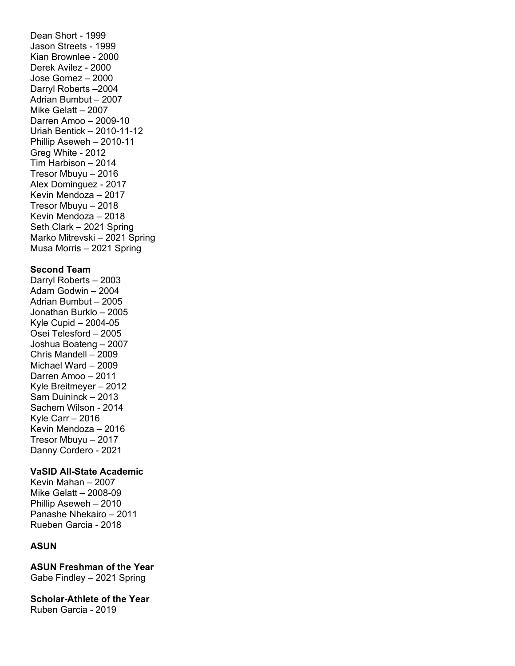Dean Short - 1999 Jason Streets - 1999 Kian Brownlee - 2000 Derek Avilez - 2000 Jose Gomez – 2000 Darryl Roberts –2004 Adrian Bumbut – 2007 Mike Gelatt – 2007 Darren Amoo – 2009-10 Uriah Bentick – 2010-11-12 Phillip Aseweh – 2010-11 Greg White - 2012 Tim Harbison – 2014 Tresor Mbuyu – 2016 Alex Dominguez - 2017 Kevin Mendoza – 2017 Tresor Mbuyu – 2018 Kevin Mendoza – 2018 Seth Clark – 2021 Spring Marko Mitrevski – 2021 Spring Musa Morris – 2021 Spring **Second Team** Darryl Roberts – 2003 Adam Godwin – 2004 Adrian Bumbut – 2005 Jonathan Burklo – 2005 Kyle Cupid – 2004-05 Osei Telesford – 2005 Joshua Boateng – 2007 Chris Mandell – 2009 Michael Ward – 2009

Danny Cordero - 2021 **VaSID All-State Academic**

Darren Amoo – 2011 Kyle Breitmeyer – 2012 Sam Duininck – 2013 Sachem Wilson - 2014 Kyle Carr – 2016 Kevin Mendoza – 2016 Tresor Mbuyu – 2017

Kevin Mahan – 2007

Mike Gelatt – 2008-09 Phillip Aseweh – 2010 Panashe Nhekairo – 2011 Rueben Garcia - 2018

# **ASUN**

**ASUN Freshman of the Year** Gabe Findley – 2021 Spring

**Scholar-Athlete of the Year** Ruben Garcia - 2019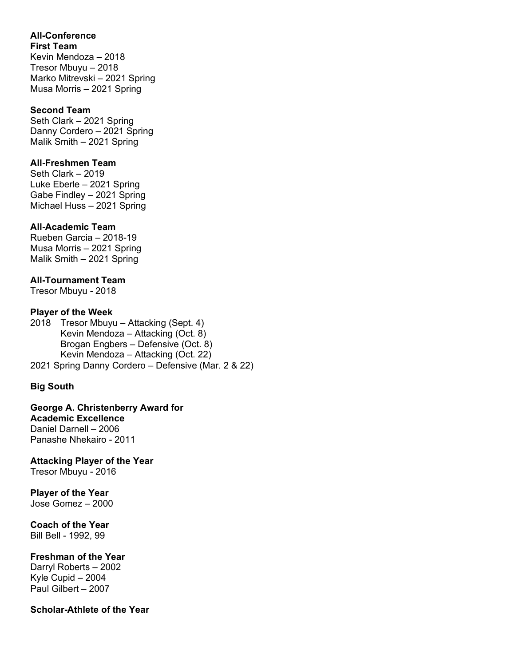# **All-Conference**

**First Team** Kevin Mendoza – 2018 Tresor Mbuyu – 2018 Marko Mitrevski – 2021 Spring Musa Morris – 2021 Spring

# **Second Team**

Seth Clark – 2021 Spring Danny Cordero – 2021 Spring Malik Smith – 2021 Spring

# **All-Freshmen Team**

Seth Clark – 2019 Luke Eberle – 2021 Spring Gabe Findley – 2021 Spring Michael Huss – 2021 Spring

# **All-Academic Team**

Rueben Garcia – 2018-19 Musa Morris – 2021 Spring Malik Smith – 2021 Spring

# **All-Tournament Team**

Tresor Mbuyu - 2018

### **Player of the Week**

2018 Tresor Mbuyu – Attacking (Sept. 4) Kevin Mendoza – Attacking (Oct. 8) Brogan Engbers – Defensive (Oct. 8) Kevin Mendoza – Attacking (Oct. 22) 2021 Spring Danny Cordero – Defensive (Mar. 2 & 22)

# **Big South**

**George A. Christenberry Award for Academic Excellence** Daniel Darnell – 2006 Panashe Nhekairo - 2011

**Attacking Player of the Year**

Tresor Mbuyu - 2016

**Player of the Year**  Jose Gomez – 2000

**Coach of the Year** Bill Bell - 1992, 99

# **Freshman of the Year**

Darryl Roberts – 2002 Kyle Cupid – 2004 Paul Gilbert – 2007

### **Scholar-Athlete of the Year**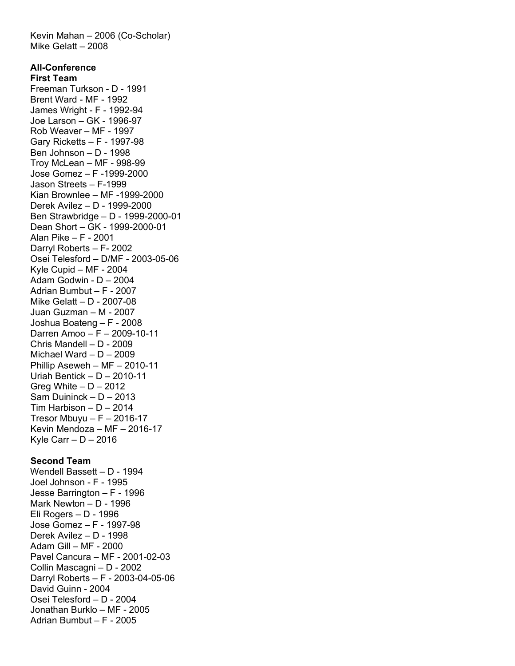Kevin Mahan – 2006 (Co-Scholar) Mike Gelatt – 2008 **All-Conference First Team**  Freeman Turkson - D - 1991 Brent Ward - MF - 1992 James Wright - F - 1992-94 Joe Larson – GK - 1996-97 Rob Weaver – MF - 1997 Gary Ricketts – F - 1997-98 Ben Johnson – D - 1998 Troy McLean – MF - 998-99 Jose Gomez – F -1999-2000 Jason Streets – F-1999 Kian Brownlee – MF -1999-2000 Derek Avilez – D - 1999-2000 Ben Strawbridge – D - 1999-2000-01 Dean Short – GK - 1999-2000-01 Alan Pike – F - 2001 Darryl Roberts – F- 2002 Osei Telesford – D/MF - 2003-05-06 Kyle Cupid – MF - 2004 Adam Godwin - D – 2004 Adrian Bumbut – F - 2007 Mike Gelatt – D - 2007-08 Juan Guzman – M - 2007 Joshua Boateng – F - 2008 Darren Amoo – F – 2009-10-11 Chris Mandell – D - 2009 Michael Ward – D – 2009 Phillip Aseweh – MF – 2010-11 Uriah Bentick – D – 2010-11 Greg White –  $D - 2012$ Sam Duininck – D – 2013 Tim Harbison –  $D - 2014$ Tresor Mbuyu –  $F - 2016-17$ Kevin Mendoza – MF – 2016-17 Kyle Carr  $- D - 2016$ 

#### **Second Team**

Wendell Bassett – D - 1994 Joel Johnson - F - 1995 Jesse Barrington – F - 1996 Mark Newton – D - 1996 Eli Rogers – D - 1996 Jose Gomez – F - 1997-98 Derek Avilez – D - 1998 Adam Gill – MF - 2000 Pavel Cancura – MF - 2001-02-03 Collin Mascagni – D - 2002 Darryl Roberts – F - 2003-04-05-06 David Guinn - 2004 Osei Telesford – D - 2004 Jonathan Burklo – MF - 2005 Adrian Bumbut – F - 2005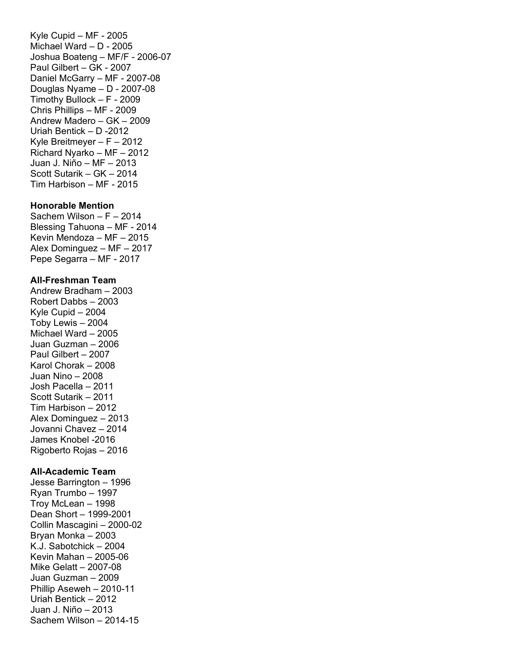Kyle Cupid – MF - 2005 Michael Ward – D - 2005 Joshua Boateng – MF/F - 2006-07 Paul Gilbert – GK - 2007 Daniel McGarry – MF - 2007-08 Douglas Nyame – D - 2007-08 Timothy Bullock – F - 2009 Chris Phillips – MF - 2009 Andrew Madero – GK – 2009 Uriah Bentick – D -2012 Kyle Breitmeyer – F – 2012 Richard Nyarko – MF – 2012 Juan J. Niño – MF – 2013 Scott Sutarik – GK – 2014 Tim Harbison – MF - 2015

### **Honorable Mention**

Sachem Wilson – F – 2014 Blessing Tahuona – MF - 2014 Kevin Mendoza – MF – 2015 Alex Dominguez – MF – 2017 Pepe Segarra – MF - 2017

#### **All-Freshman Team**

Andrew Bradham – 2003 Robert Dabbs – 2003 Kyle Cupid – 2004 Toby Lewis – 2004 Michael Ward – 2005 Juan Guzman – 2006 Paul Gilbert – 2007 Karol Chorak – 2008 Juan Nino – 2008 Josh Pacella – 2011 Scott Sutarik – 2011 Tim Harbison – 2012 Alex Dominguez – 2013 Jovanni Chavez – 2014 James Knobel -2016 Rigoberto Rojas – 2016

### **All-Academic Team**

Jesse Barrington – 1996 Ryan Trumbo – 1997 Troy McLean – 1998 Dean Short – 1999-2001 Collin Mascagini – 2000-02 Bryan Monka – 2003 K.J. Sabotchick – 2004 Kevin Mahan – 2005-06 Mike Gelatt – 2007-08 Juan Guzman – 2009 Phillip Aseweh – 2010-11 Uriah Bentick – 2012 Juan J. Niño – 2013 Sachem Wilson – 2014-15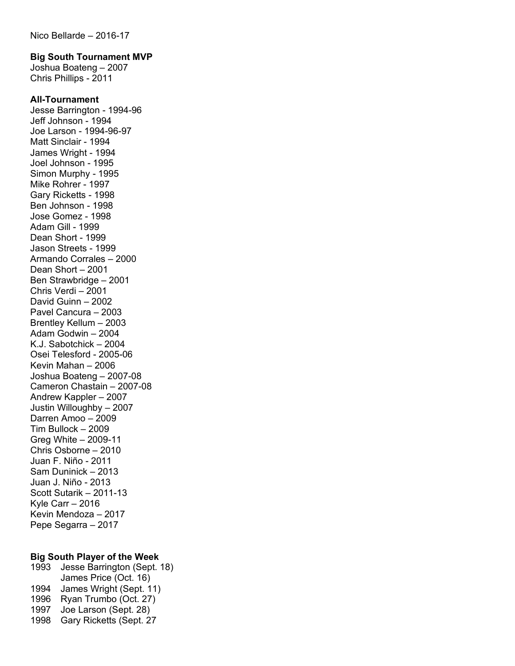#### **Big South Tournament MVP**

Joshua Boateng – 2007 Chris Phillips - 2011

#### **All-Tournament**

Jesse Barrington - 1994-96 Jeff Johnson - 1994 Joe Larson - 1994-96-97 Matt Sinclair - 1994 James Wright - 1994 Joel Johnson - 1995 Simon Murphy - 1995 Mike Rohrer - 1997 Gary Ricketts - 1998 Ben Johnson - 1998 Jose Gomez - 1998 Adam Gill - 1999 Dean Short - 1999 Jason Streets - 1999 Armando Corrales – 2000 Dean Short – 2001 Ben Strawbridge – 2001 Chris Verdi – 2001 David Guinn – 2002 Pavel Cancura – 2003 Brentley Kellum – 2003 Adam Godwin – 2004 K.J. Sabotchick – 2004 Osei Telesford - 2005-06 Kevin Mahan – 2006 Joshua Boateng – 2007-08 Cameron Chastain – 2007-08 Andrew Kappler – 2007 Justin Willoughby – 2007 Darren Amoo – 2009 Tim Bullock – 2009 Greg White – 2009-11 Chris Osborne – 2010 Juan F. Niño - 2011 Sam Duninick – 2013 Juan J. Niño - 2013 Scott Sutarik – 2011-13 Kyle Carr – 2016 Kevin Mendoza – 2017 Pepe Segarra – 2017

### **Big South Player of the Week**

 Jesse Barrington (Sept. 18) James Price (Oct. 16) James Wright (Sept. 11) Ryan Trumbo (Oct. 27) Joe Larson (Sept. 28) Gary Ricketts (Sept. 27